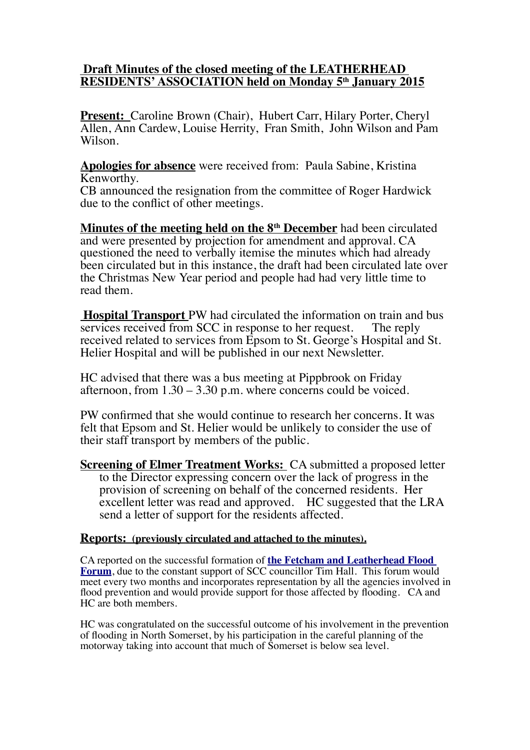## **Draft Minutes of the closed meeting of the LEATHERHEAD RESIDENTS' ASSOCIATION held on Monday 5th January 2015**

Present: Caroline Brown (Chair), Hubert Carr, Hilary Porter, Cheryl Allen, Ann Cardew, Louise Herrity, Fran Smith, John Wilson and Pam Wilson.

**Apologies for absence** were received from: Paula Sabine, Kristina Kenworthy.

CB announced the resignation from the committee of Roger Hardwick due to the conflict of other meetings.

 **Minutes of the meeting held on the 8th December** had been circulated and were presented by projection for amendment and approval. CA questioned the need to verbally itemise the minutes which had already been circulated but in this instance, the draft had been circulated late over the Christmas New Year period and people had had very little time to read them.

 **Hospital Transport** PW had circulated the information on train and bus services received from SCC in response to her request. The reply received related to services from Epsom to St. George's Hospital and St. Helier Hospital and will be published in our next Newsletter.

HC advised that there was a bus meeting at Pippbrook on Friday afternoon, from  $1.30 - 3.30$  p.m. where concerns could be voiced.

PW confirmed that she would continue to research her concerns. It was felt that Epsom and St. Helier would be unlikely to consider the use of their staff transport by members of the public.

**Screening of Elmer Treatment Works:** CA submitted a proposed letter to the Director expressing concern over the lack of progress in the provision of screening on behalf of the concerned residents. Her excellent letter was read and approved. HC suggested that the LRA send a letter of support for the residents affected.

## **Reports: (previously circulated and attached to the minutes).**

CA reported on the successful formation of **[the Fetcham and Leatherhead Flood](http://leatherheadresidents.org.uk/Reports/Flood_Forum_Jan_2015.pdf) [Forum](http://leatherheadresidents.org.uk/Reports/Flood_Forum_Jan_2015.pdf)**, due to the constant support of SCC councillor Tim Hall. This forum would meet every two months and incorporates representation by all the agencies involved in flood prevention and would provide support for those affected by flooding. CA and HC are both members.

HC was congratulated on the successful outcome of his involvement in the prevention of flooding in North Somerset, by his participation in the careful planning of the motorway taking into account that much of Somerset is below sea level.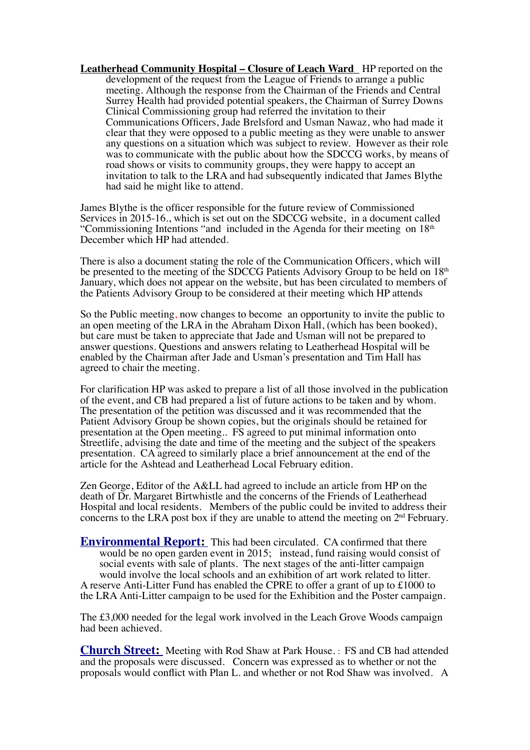**Leatherhead Community Hospital – Closure of Leach Ward** HP reported on the development of the request from the League of Friends to arrange a public meeting. Although the response from the Chairman of the Friends and Central Surrey Health had provided potential speakers, the Chairman of Surrey Downs Clinical Commissioning group had referred the invitation to their Communications Officers, Jade Brelsford and Usman Nawaz, who had made it clear that they were opposed to a public meeting as they were unable to answer any questions on a situation which was subject to review. However as their role was to communicate with the public about how the SDCCG works, by means of road shows or visits to community groups, they were happy to accept an invitation to talk to the LRA and had subsequently indicated that James Blythe had said he might like to attend.

James Blythe is the officer responsible for the future review of Commissioned Services in 2015-16., which is set out on the SDCCG website, in a document called "Commissioning Intentions "and included in the Agenda for their meeting on  $18<sup>th</sup>$ December which HP had attended.

There is also a document stating the role of the Communication Officers, which will be presented to the meeting of the SDCCG Patients Advisory Group to be held on 18<sup>th</sup> January, which does not appear on the website, but has been circulated to members of the Patients Advisory Group to be considered at their meeting which HP attends

So the Public meeting, now changes to become an opportunity to invite the public to an open meeting of the LRA in the Abraham Dixon Hall, (which has been booked), but care must be taken to appreciate that Jade and Usman will not be prepared to answer questions. Questions and answers relating to Leatherhead Hospital will be enabled by the Chairman after Jade and Usman's presentation and Tim Hall has agreed to chair the meeting.

For clarification HP was asked to prepare a list of all those involved in the publication of the event, and CB had prepared a list of future actions to be taken and by whom. The presentation of the petition was discussed and it was recommended that the Patient Advisory Group be shown copies, but the originals should be retained for presentation at the Open meeting.. FS agreed to put minimal information onto Streetlife, advising the date and time of the meeting and the subject of the speakers presentation. CA agreed to similarly place a brief announcement at the end of the article for the Ashtead and Leatherhead Local February edition.

Zen George, Editor of the A&LL had agreed to include an article from HP on the death of Dr. Margaret Birtwhistle and the concerns of the Friends of Leatherhead Hospital and local residents. Members of the public could be invited to address their concerns to the LRA post box if they are unable to attend the meeting on  $2<sup>nd</sup>$  February.

**Environmental Report:** This had been circulated. CA confirmed that there would be no open garden event in 2015; instead, fund raising would consist of social events with sale of plants. The next stages of the anti-litter campaign would involve the local schools and an exhibition of art work related to litter. A reserve Anti-Litter Fund has enabled the CPRE to offer a grant of up to £1000 to the LRA Anti-Litter campaign to be used for the Exhibition and the Poster campaign.

The £3,000 needed for the legal work involved in the Leach Grove Woods campaign had been achieved.

**Church Street:** Meeting with Rod Shaw at Park House. : FS and CB had attended and the proposals were discussed. Concern was expressed as to whether or not the proposals would conflict with Plan L. and whether or not Rod Shaw was involved. A